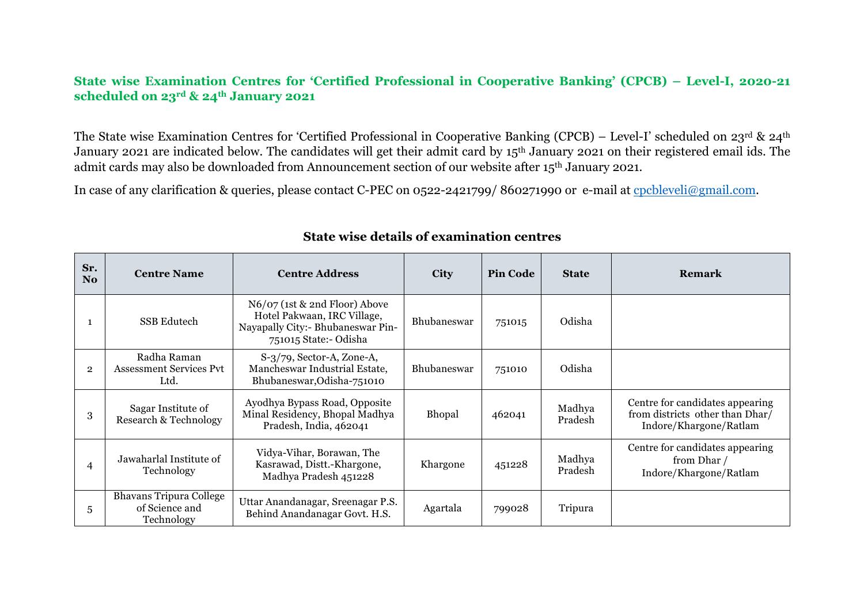## **State wise Examination Centres for 'Certified Professional in Cooperative Banking' (CPCB) – Level-I, 2020-21 scheduled on 23rd & 24th January 2021**

The State wise Examination Centres for 'Certified Professional in Cooperative Banking (CPCB) – Level-I' scheduled on 23rd & 24th January 2021 are indicated below. The candidates will get their admit card by 15<sup>th</sup> January 2021 on their registered email ids. The admit cards may also be downloaded from Announcement section of our website after 15th January 2021.

In case of any clarification & queries, please contact C-PEC on 0522-2421799/ 860271990 or e-mail at cpcbleveli@gmail.com.

| Sr.<br>No.     | <b>Centre Name</b>                                             | <b>Centre Address</b>                                                                                                      | <b>City</b>        | <b>Pin Code</b> | <b>State</b>      | <b>Remark</b>                                                                                |
|----------------|----------------------------------------------------------------|----------------------------------------------------------------------------------------------------------------------------|--------------------|-----------------|-------------------|----------------------------------------------------------------------------------------------|
|                | SSB Edutech                                                    | N6/07 (1st & 2nd Floor) Above<br>Hotel Pakwaan, IRC Village,<br>Nayapally City:- Bhubaneswar Pin-<br>751015 State:- Odisha | <b>Bhubaneswar</b> | 751015          | Odisha            |                                                                                              |
| $\overline{2}$ | Radha Raman<br><b>Assessment Services Pvt</b><br>Ltd.          | $S-3/79$ , Sector-A, Zone-A,<br>Mancheswar Industrial Estate,<br>Bhubaneswar, Odisha-751010                                | <b>Bhubaneswar</b> | 751010          | Odisha            |                                                                                              |
| 3              | Sagar Institute of<br>Research & Technology                    | Ayodhya Bypass Road, Opposite<br>Minal Residency, Bhopal Madhya<br>Pradesh, India, 462041                                  | <b>Bhopal</b>      | 462041          | Madhya<br>Pradesh | Centre for candidates appearing<br>from districts other than Dhar/<br>Indore/Khargone/Ratlam |
| 4              | Jawaharlal Institute of<br>Technology                          | Vidya-Vihar, Borawan, The<br>Kasrawad, Distt.-Khargone,<br>Madhya Pradesh 451228                                           | Khargone           | 451228          | Madhya<br>Pradesh | Centre for candidates appearing<br>from Dhar /<br>Indore/Khargone/Ratlam                     |
| 5              | <b>Bhavans Tripura College</b><br>of Science and<br>Technology | Uttar Anandanagar, Sreenagar P.S.<br>Behind Anandanagar Govt. H.S.                                                         | Agartala           | 799028          | Tripura           |                                                                                              |

## **State wise details of examination centres**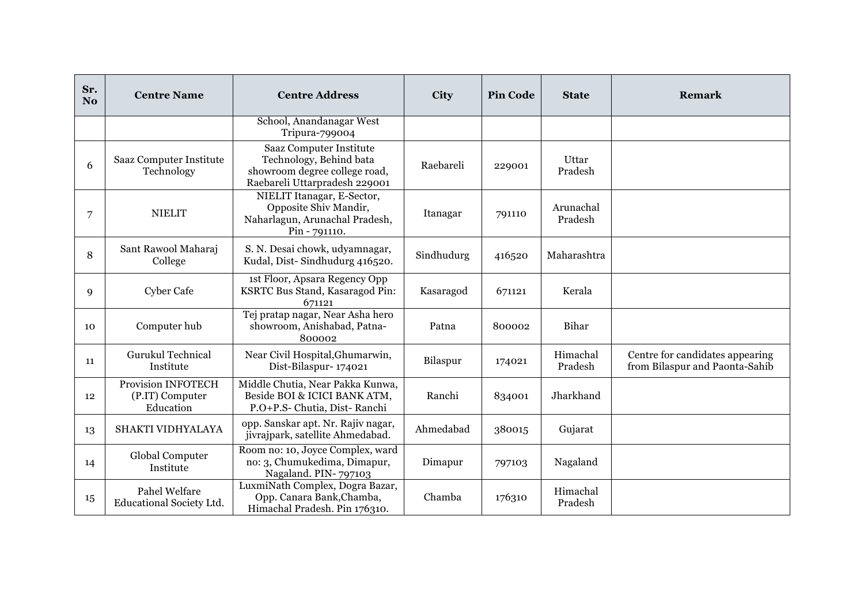| Sr.<br>N <sub>0</sub> | <b>Centre Name</b>                                 | <b>Centre Address</b>                                                                                                       | <b>City</b> | <b>Pin Code</b> | <b>State</b>         | <b>Remark</b>                                                     |
|-----------------------|----------------------------------------------------|-----------------------------------------------------------------------------------------------------------------------------|-------------|-----------------|----------------------|-------------------------------------------------------------------|
|                       |                                                    | School, Anandanagar West<br>Tripura-799004                                                                                  |             |                 |                      |                                                                   |
| 6                     | Saaz Computer Institute<br>Technology              | <b>Saaz Computer Institute</b><br>Technology, Behind bata<br>showroom degree college road,<br>Raebareli Uttarpradesh 229001 | Raebareli   | 229001          | Uttar<br>Pradesh     |                                                                   |
| 7                     | <b>NIELIT</b>                                      | NIELIT Itanagar, E-Sector,<br>Opposite Shiv Mandir,<br>Naharlagun, Arunachal Pradesh,<br>Pin - 791110.                      | Itanagar    | 791110          | Arunachal<br>Pradesh |                                                                   |
| 8                     | Sant Rawool Maharaj<br>College                     | S. N. Desai chowk, udyamnagar,<br>Kudal, Dist-Sindhudurg 416520.                                                            | Sindhudurg  | 416520          | Maharashtra          |                                                                   |
| 9                     | <b>Cyber Cafe</b>                                  | 1st Floor, Apsara Regency Opp<br>KSRTC Bus Stand, Kasaragod Pin:<br>671121                                                  | Kasaragod   | 671121          | Kerala               |                                                                   |
| 10                    | Computer hub                                       | Tej pratap nagar, Near Asha hero<br>showroom, Anishabad, Patna-<br>800002                                                   | Patna       | 800002          | Bihar                |                                                                   |
| 11                    | Gurukul Technical<br>Institute                     | Near Civil Hospital, Ghumarwin,<br>Dist-Bilaspur-174021                                                                     | Bilaspur    | 174021          | Himachal<br>Pradesh  | Centre for candidates appearing<br>from Bilaspur and Paonta-Sahib |
| 12                    | Provision INFOTECH<br>(P.IT) Computer<br>Education | Middle Chutia, Near Pakka Kunwa,<br>Beside BOI & ICICI BANK ATM,<br>P.O+P.S- Chutia, Dist-Ranchi                            | Ranchi      | 834001          | Jharkhand            |                                                                   |
| 13                    | SHAKTI VIDHYALAYA                                  | opp. Sanskar apt. Nr. Rajiv nagar,<br>jivrajpark, satellite Ahmedabad.                                                      | Ahmedabad   | 380015          | Gujarat              |                                                                   |
| 14                    | Global Computer<br>Institute                       | Room no: 10, Joyce Complex, ward<br>no: 3, Chumukedima, Dimapur,<br>Nagaland. PIN-797103                                    | Dimapur     | 797103          | Nagaland             |                                                                   |
| 15                    | Pahel Welfare<br>Educational Society Ltd.          | LuxmiNath Complex, Dogra Bazar,<br>Opp. Canara Bank, Chamba,<br>Himachal Pradesh. Pin 176310.                               | Chamba      | 176310          | Himachal<br>Pradesh  |                                                                   |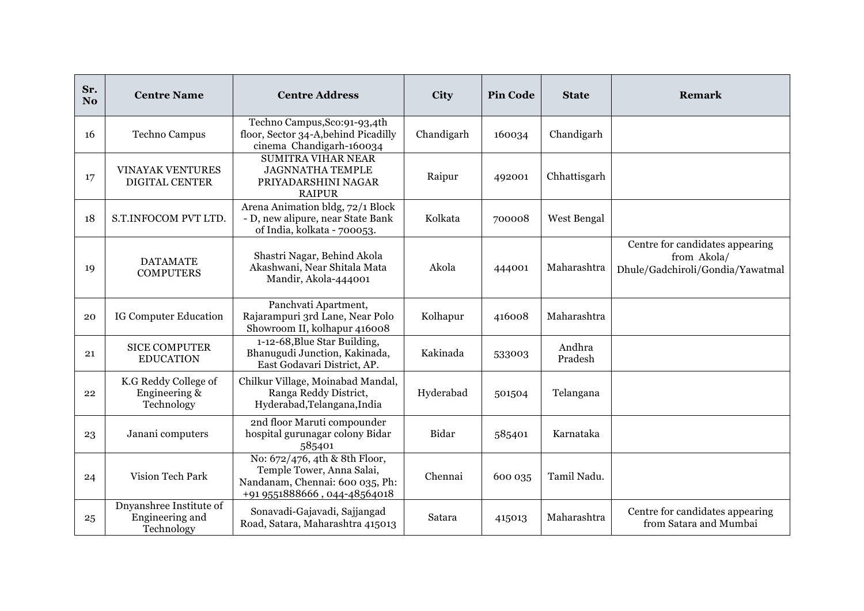| Sr.<br>N <sub>o</sub> | <b>Centre Name</b>                                       | <b>Centre Address</b>                                                                                                         | City       | <b>Pin Code</b> | <b>State</b>      | Remark                                                                             |
|-----------------------|----------------------------------------------------------|-------------------------------------------------------------------------------------------------------------------------------|------------|-----------------|-------------------|------------------------------------------------------------------------------------|
| 16                    | Techno Campus                                            | Techno Campus, Sco: 91-93, 4th<br>floor, Sector 34-A, behind Picadilly<br>cinema Chandigarh-160034                            | Chandigarh | 160034          | Chandigarh        |                                                                                    |
| 17                    | <b>VINAYAK VENTURES</b><br><b>DIGITAL CENTER</b>         | <b>SUMITRA VIHAR NEAR</b><br><b>JAGNNATHA TEMPLE</b><br>PRIYADARSHINI NAGAR<br><b>RAIPUR</b>                                  | Raipur     | 492001          | Chhattisgarh      |                                                                                    |
| 18                    | S.T.INFOCOM PVT LTD.                                     | Arena Animation bldg, 72/1 Block<br>- D, new alipure, near State Bank<br>of India, kolkata - 700053.                          | Kolkata    | 700008          | West Bengal       |                                                                                    |
| 19                    | <b>DATAMATE</b><br><b>COMPUTERS</b>                      | Shastri Nagar, Behind Akola<br>Akashwani, Near Shitala Mata<br>Mandir, Akola-444001                                           | Akola      | 444001          | Maharashtra       | Centre for candidates appearing<br>from Akola/<br>Dhule/Gadchiroli/Gondia/Yawatmal |
| 20                    | IG Computer Education                                    | Panchvati Apartment,<br>Rajarampuri 3rd Lane, Near Polo<br>Showroom II, kolhapur 416008                                       | Kolhapur   | 416008          | Maharashtra       |                                                                                    |
| 21                    | <b>SICE COMPUTER</b><br><b>EDUCATION</b>                 | 1-12-68, Blue Star Building,<br>Bhanugudi Junction, Kakinada,<br>East Godavari District, AP.                                  | Kakinada   | 533003          | Andhra<br>Pradesh |                                                                                    |
| 22                    | K.G Reddy College of<br>Engineering &<br>Technology      | Chilkur Village, Moinabad Mandal,<br>Ranga Reddy District,<br>Hyderabad, Telangana, India                                     | Hyderabad  | 501504          | Telangana         |                                                                                    |
| 23                    | Janani computers                                         | 2nd floor Maruti compounder<br>hospital gurunagar colony Bidar<br>585401                                                      | Bidar      | 585401          | Karnataka         |                                                                                    |
| 24                    | Vision Tech Park                                         | No: 672/476, 4th & 8th Floor,<br>Temple Tower, Anna Salai,<br>Nandanam, Chennai: 600 035, Ph:<br>+91 9551888666, 044-48564018 | Chennai    | 600 035         | Tamil Nadu.       |                                                                                    |
| 25                    | Dnyanshree Institute of<br>Engineering and<br>Technology | Sonavadi-Gajavadi, Sajjangad<br>Road, Satara, Maharashtra 415013                                                              | Satara     | 415013          | Maharashtra       | Centre for candidates appearing<br>from Satara and Mumbai                          |